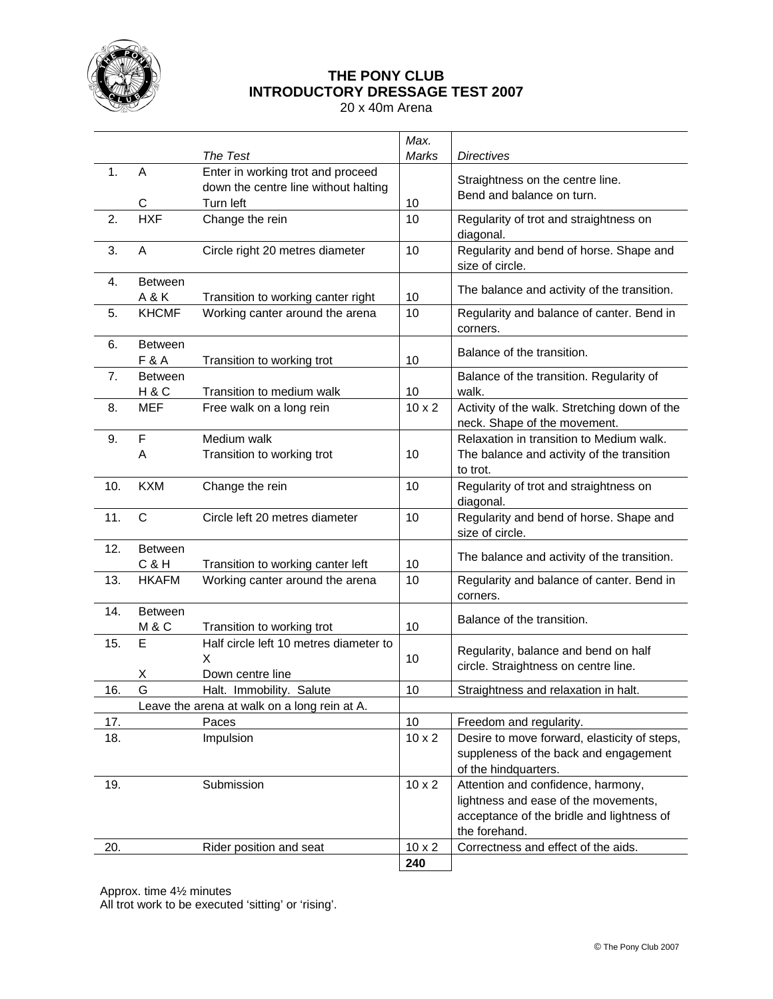

## **THE PONY CLUB INTRODUCTORY DRESSAGE TEST 2007**

20 x 40m Arena

|     |                                              |                                        | Max.          |                                                                            |
|-----|----------------------------------------------|----------------------------------------|---------------|----------------------------------------------------------------------------|
|     |                                              | The Test                               | Marks         | <b>Directives</b>                                                          |
| 1.  | A                                            | Enter in working trot and proceed      |               | Straightness on the centre line.                                           |
|     |                                              | down the centre line without halting   |               | Bend and balance on turn.                                                  |
|     | C                                            | Turn left                              | 10            |                                                                            |
| 2.  | <b>HXF</b>                                   | Change the rein                        | 10            | Regularity of trot and straightness on                                     |
|     |                                              |                                        |               | diagonal.                                                                  |
| 3.  | A                                            | Circle right 20 metres diameter        | 10            | Regularity and bend of horse. Shape and                                    |
|     |                                              |                                        |               | size of circle.                                                            |
| 4.  | <b>Between</b>                               |                                        |               | The balance and activity of the transition.                                |
|     | A&K                                          | Transition to working canter right     | 10            |                                                                            |
| 5.  | <b>KHCMF</b>                                 | Working canter around the arena        | 10            | Regularity and balance of canter. Bend in                                  |
|     |                                              |                                        |               | corners.                                                                   |
| 6.  | <b>Between</b><br><b>F&amp;A</b>             |                                        | 10            | Balance of the transition.                                                 |
| 7.  | Between                                      | Transition to working trot             |               | Balance of the transition. Regularity of                                   |
|     | H&C                                          | Transition to medium walk              | 10            | walk.                                                                      |
| 8.  | MEF                                          | Free walk on a long rein               | $10 \times 2$ | Activity of the walk. Stretching down of the                               |
|     |                                              |                                        |               | neck. Shape of the movement.                                               |
| 9.  | F                                            | Medium walk                            |               | Relaxation in transition to Medium walk.                                   |
|     | A                                            | Transition to working trot             | 10            | The balance and activity of the transition                                 |
|     |                                              |                                        |               | to trot.                                                                   |
| 10. | <b>KXM</b>                                   | Change the rein                        | 10            | Regularity of trot and straightness on                                     |
|     |                                              |                                        |               | diagonal.                                                                  |
| 11. | $\mathsf{C}$                                 | Circle left 20 metres diameter         | 10            | Regularity and bend of horse. Shape and                                    |
|     |                                              |                                        |               | size of circle.                                                            |
| 12. | <b>Between</b>                               |                                        |               |                                                                            |
|     | <b>C&amp;H</b>                               | Transition to working canter left      | 10            | The balance and activity of the transition.                                |
| 13. | <b>HKAFM</b>                                 | Working canter around the arena        | 10            | Regularity and balance of canter. Bend in                                  |
|     |                                              |                                        |               | corners.                                                                   |
| 14. | <b>Between</b>                               |                                        |               | Balance of the transition.                                                 |
|     | M & C                                        | Transition to working trot             | 10            |                                                                            |
| 15. | Е                                            | Half circle left 10 metres diameter to |               | Regularity, balance and bend on half                                       |
|     |                                              | X                                      | 10            | circle. Straightness on centre line.                                       |
|     | х                                            | Down centre line                       |               |                                                                            |
| 16. | G                                            | Halt. Immobility. Salute               | 10            | Straightness and relaxation in halt.                                       |
|     | Leave the arena at walk on a long rein at A. |                                        |               |                                                                            |
| 17. |                                              | Paces                                  | 10            | Freedom and regularity.                                                    |
| 18. |                                              | Impulsion                              | $10 \times 2$ | Desire to move forward, elasticity of steps,                               |
|     |                                              |                                        |               | suppleness of the back and engagement                                      |
|     | Submission<br>19.                            |                                        |               | of the hindquarters.                                                       |
|     |                                              |                                        | $10 \times 2$ | Attention and confidence, harmony,<br>lightness and ease of the movements, |
|     |                                              |                                        |               | acceptance of the bridle and lightness of                                  |
|     |                                              |                                        |               | the forehand.                                                              |
| 20. |                                              | Rider position and seat                | $10 \times 2$ | Correctness and effect of the aids.                                        |
|     |                                              |                                        | 240           |                                                                            |
|     |                                              |                                        |               |                                                                            |

Approx. time 4½ minutes

All trot work to be executed 'sitting' or 'rising'.